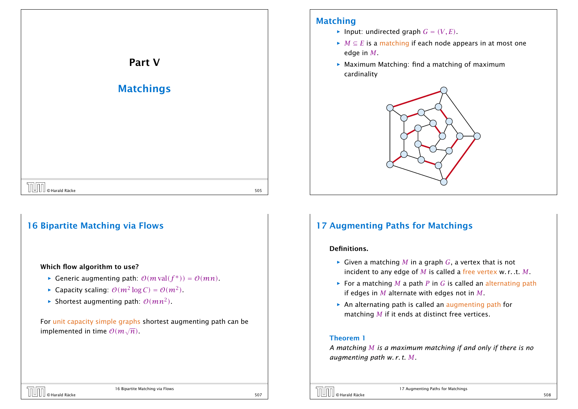

## 16 Bipartite Matching via Flows

#### Which flow algorithm to use?

- *►* Generic augmenting path:  $O(m \text{ val}(f^*)) = O(mn)$ .
- ▶ Capacity scaling:  $O(m^2 \log C) = O(m^2)$ .
- $\blacktriangleright$  Shortest augmenting path:  $\mathcal{O}(mn^2)$ .

For unit capacity simple graphs shortest augmenting path can be implemented in time <sup>O</sup>*(m*<sup>√</sup> *n)*.

## Matching

- $\blacktriangleright$  Input: undirected graph  $G = (V, E)$ .
- $\blacktriangleright$  *M*  $\subseteq$  *E* is a matching if each node appears in at most one edge in *M*.
- ▶ Maximum Matching: find a matching of maximum cardinality



# 17 Augmenting Paths for Matchings

#### Definitions.

- $\blacktriangleright$  Given a matching *M* in a graph *G*, a vertex that is not incident to any edge of *M* is called a free vertex w. r. .t. *M*.
- $\blacktriangleright$  For a matching *M* a path *P* in *G* is called an alternating path if edges in *M* alternate with edges not in *M*.
- $\triangleright$  An alternating path is called an augmenting path for matching *M* if it ends at distinct free vertices.

#### Theorem 1

*A matching M is a maximum matching if and only if there is no augmenting path w. r. t. M.*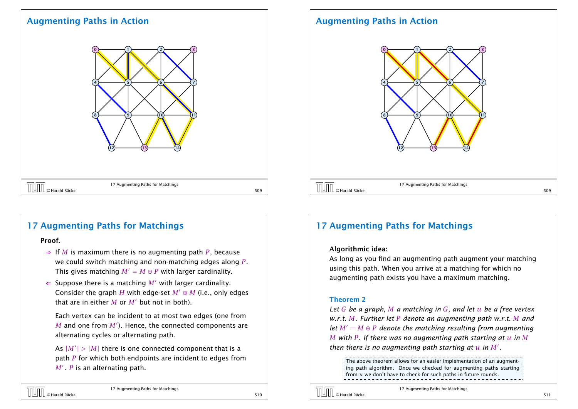## Augmenting Paths in Action



# 17 Augmenting Paths for Matchings

#### Proof.

- ⇒ If *M* is maximum there is no augmenting path *P*, because we could switch matching and non-matching edges along *P*. This gives matching  $M' = M \oplus P$  with larger cardinality.
- $\Leftarrow$  Suppose there is a matching M' with larger cardinality. Consider the graph *H* with edge-set  $M' \oplus M$  (i.e., only edges that are in either  $M$  or  $M'$  but not in both).

Each vertex can be incident to at most two edges (one from  $M$  and one from  $M'$ ). Hence, the connected components are alternating cycles or alternating path.

As  $|M'| > |M|$  there is one connected component that is a path *P* for which both endpoints are incident to edges from  $M'$  .  $P$  is an alternating path.

# © Harald Räcke 510

17 Augmenting Paths for Matchings

## Augmenting Paths in Action



# 17 Augmenting Paths for Matchings

#### Algorithmic idea:

As long as you find an augmenting path augment your matching using this path. When you arrive at a matching for which no augmenting path exists you have a maximum matching.

#### Theorem 2

*Let G be a graph, M a matching in G, and let u be a free vertex w.r.t. M. Further let P denote an augmenting path w.r.t. M and let*  $M' = M \oplus P$  *denote the matching resulting from augmenting M with P. If there was no augmenting path starting at u in M then there is no augmenting path starting at*  $u$  *in*  $M'$ *.* 

The above theorem allows for an easier implementation of an augmenting path algorithm. Once we checked for augmenting paths starting from *u* we don't have to check for such paths in future rounds.

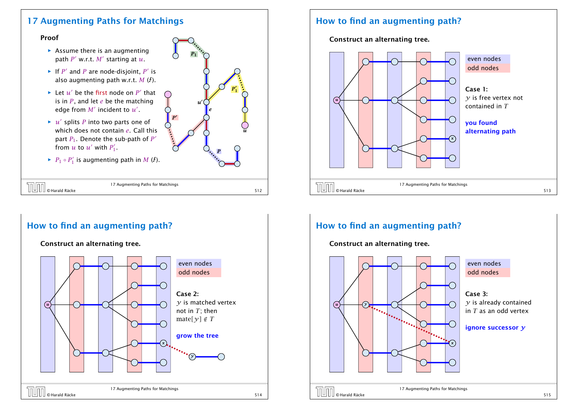## 17 Augmenting Paths for Matchings

#### Proof

- **EX** Assume there is an augmenting path  $P'$  w.r.t.  $M'$  starting at  $u$ .
- If  $P'$  and  $P$  are node-disjoint,  $P'$  is also augmenting path w.r.t.  $M(f)$ .
- $\blacktriangleright$  Let  $u'$  be the first node on  $P'$  that is in *P*, and let *e* be the matching edge from  $M'$  incident to  $u'$ .
- $\blacktriangleright$  *u'* splits *P* into two parts one of which does not contain *e*. Call this part  $P_1$ . Denote the sub-path of  $P'$ from  $u$  to  $u'$  with  $P'_1$ .
- ▶  $P_1 \circ P_1'$  is augmenting path in *M* ( $\ell$ ).



| <b>THE CHAIRE</b> | 17 Augmenting Paths for Matchings |  |
|-------------------|-----------------------------------|--|
|                   |                                   |  |

## How to find an augmenting path?

#### Construct an alternating tree.



## How to find an augmenting path?

Construct an alternating tree.



# How to find an augmenting path?

Construct an alternating tree.

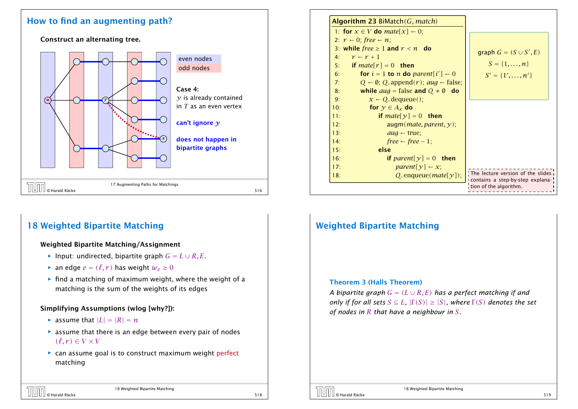## How to find an augmenting path?

Construct an alternating tree.



# 18 Weighted Bipartite Matching

### Weighted Bipartite Matching/Assignment

- *►* Input: undirected, bipartite graph  $G = L \cup R$ , *E*.
- $\blacktriangleright$  an edge  $e = (\ell, r)$  has weight  $w_e \geq 0$
- ▶ find a matching of maximum weight, where the weight of a matching is the sum of the weights of its edges

## Simplifying Assumptions (wlog [why?]):

- $\blacktriangleright$  assume that  $|L| = |R| = n$
- $\triangleright$  assume that there is an edge between every pair of nodes  $(\ell, r) \in V \times V$
- **▶ can assume goal is to construct maximum weight perfect** matching

| <b>Algorithm 23 BiMatch <math>(G, match)</math></b>                        |                                                                                                               |
|----------------------------------------------------------------------------|---------------------------------------------------------------------------------------------------------------|
| 1: for $x \in V$ do mate[x] $\leftarrow 0$ ;                               |                                                                                                               |
| 2: $r \leftarrow 0$ ; free $\leftarrow n$ ;                                |                                                                                                               |
| 3: while free $\geq 1$ and $r < n$ do                                      | graph $G = (S \cup S', E)$                                                                                    |
| $r - r + 1$<br>4:                                                          |                                                                                                               |
| <b>if</b> mate $[r] = 0$ then<br>5:                                        | $S = \{1, , n\}$                                                                                              |
| for $i = 1$ to <i>n</i> do <i>parent</i> [ $i'$ ] $\leftarrow 0$<br>6:     | $S' = \{1', \ldots, n'\}$                                                                                     |
| $Q \leftarrow \emptyset$ ; Q. append $(r)$ ; aug $\leftarrow$ false;<br>7: |                                                                                                               |
| while $aug = false$ and $Q \neq \emptyset$ do<br>8:                        |                                                                                                               |
| $x \leftarrow Q$ . dequeue();<br>9:                                        |                                                                                                               |
| for $y \in A_x$ do<br>10:                                                  |                                                                                                               |
| if $mate[y] = 0$ then<br>11:                                               |                                                                                                               |
| 12:                                                                        | augm(mate, parent, y);                                                                                        |
| 13:<br>$auq \leftarrow true;$                                              |                                                                                                               |
| $free - free - 1$ ;<br>14:                                                 |                                                                                                               |
| else<br>15:                                                                |                                                                                                               |
| 16:                                                                        | if parent[ $y$ ] = 0 then                                                                                     |
| 17:<br><i>parent</i> $[\gamma]$ $\leftarrow$ <i>x</i> ;                    |                                                                                                               |
| 18:                                                                        | The lecture version of the slides<br>$Q$ . enqueue( <i>mate</i> [ $y$ ]);<br>contains a step-by-step explana- |
|                                                                            | tion of the algorithm.                                                                                        |
|                                                                            |                                                                                                               |

# Weighted Bipartite Matching

### Theorem 3 (Halls Theorem)

*A bipartite graph*  $G = (L \cup R, E)$  *has a perfect matching if and only if for all sets*  $S \subseteq L$ *,*  $|\Gamma(S)| \geq |S|$ *, where*  $\Gamma(S)$  *denotes the set of nodes in R that have a neighbour in S.*



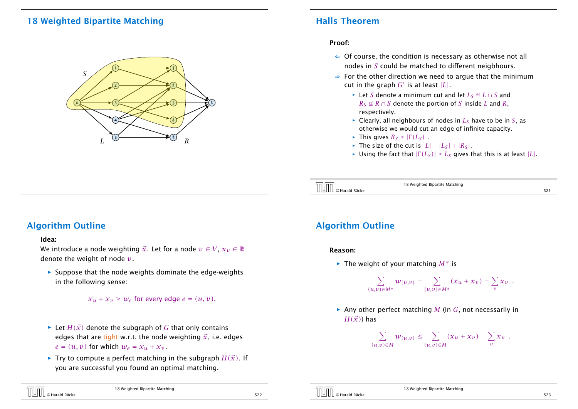# 18 Weighted Bipartite Matching



## Halls Theorem

### Proof:

- $\Leftarrow$  Of course, the condition is necessary as otherwise not all nodes in *S* could be matched to different neigbhours.
- ⇒ For the other direction we need to argue that the minimum cut in the graph  $G'$  is at least  $|L|$ .
	- *►* Let *S* denote a minimum cut and let  $L_S \triangleq L \cap S$  and  $R_S \triangleq R \cap S$  denote the portion of *S* inside *L* and *R*, respectively.
	- $\triangleright$  Clearly, all neighbours of nodes in  $L_S$  have to be in *S*, as otherwise we would cut an edge of infinite capacity.
	- $\blacktriangleright$  This gives  $R_S \geq |\Gamma(L_S)|$ .
	- $\blacktriangleright$  The size of the cut is  $|L| |L_S| + |R_S|$ .
	- $\blacktriangleright$  Using the fact that  $|\Gamma(L_S)| \geq L_S$  gives that this is at least  $|L|$ .



18 Weighted Bipartite Matching

## Algorithm Outline

#### Idea:

We introduce a node weighting  $\vec{x}$ . Let for a node  $v \in V$ ,  $x_v \in \mathbb{R}$ denote the weight of node *v*.

**Follo** Suppose that the node weights dominate the edge-weights in the following sense:

```
x_u + x_v \geq w_e for every edge e = (u, v).
```
- $\blacktriangleright$  Let *H(* $\vec{x}$ *)* denote the subgraph of *G* that only contains edges that are tight w.r.t. the node weighting  $\vec{x}$ , i.e. edges  $e = (u, v)$  for which  $w_e = x_u + x_v$ .
- $\blacktriangleright$  Try to compute a perfect matching in the subgraph  $H(\vec{x})$ . If you are successful you found an optimal matching.

| <b>THE CHAIRD O Harald Räcke</b> | 18 Weighted Bipartite Matching |  |
|----------------------------------|--------------------------------|--|
|                                  |                                |  |

# Algorithm Outline

#### Reason:

*ñ* The weight of your matching *M*∗ is

$$
\sum_{(u,v)\in M^*} w_{(u,v)} = \sum_{(u,v)\in M^*} (x_u+x_v) = \sum_v x_v.
$$

**▶ Any other perfect matching** *M* (in *G*, not necessarily in  $H(\vec{x})$  has

$$
\sum_{(u,v)\in M} w_{(u,v)} \leq \sum_{(u,v)\in M} (x_u + x_v) = \sum_v x_v \enspace .
$$

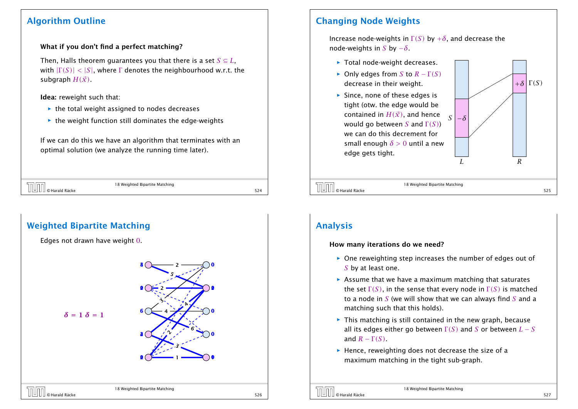## Algorithm Outline

## What if you don't find a perfect matching?

Then, Halls theorem quarantees you that there is a set  $S \subseteq L$ , with  $|\Gamma(S)| < |S|$ , where  $\Gamma$  denotes the neighbourhood w.r.t. the subgraph  $H(\vec{x})$ .

## Idea: reweight such that:

- $\blacktriangleright$  the total weight assigned to nodes decreases
- **EX** the weight function still dominates the edge-weights

If we can do this we have an algorithm that terminates with an optimal solution (we analyze the running time later).

| 18 Weighted Bipartite Matching<br>- |    |
|-------------------------------------|----|
|                                     | -- |



# Changing Node Weights

Increase node-weights in  $\Gamma(S)$  by  $+\delta$ , and decrease the node-weights in *S* by −*δ*.

- ▶ Total node-weight decreases.
- *►* Only edges from *S* to  $R \Gamma(S)$ decrease in their weight.
- **Follo Since, none of these edges is** tight (otw. the edge would be contained in  $H(\vec{x})$ , and hence would go between *S* and Γ *(S)*) we can do this decrement for small enough *δ >* 0 until a new edge gets tight.



# $\boxed{\textcolor{red}{\text{[}}\text{[}}\text{[]}\text{[]}}$   $\boxed{\text{[}}\text{[]}\text{[]}}$   $\boxed{\text{[}}\text{[]}\text{[]}}$   $\boxed{\text{[}}\text{[]}\text{[]}}$   $\boxed{\text{[}}\text{[]}\text{[]}}$   $\boxed{\text{[}}\text{[]}\text{[]}}$   $\boxed{\text{[}}\text{[]}\text{[]}}$   $\boxed{\text{[}}\text{[]}\text{[]}}$   $\boxed{\text{[}}\text{[]}\text{[]}}$   $\boxed{\text{[}}\text{[]}\text{[]}}$

18 Weighted Bipartite Matching

# Analysis

### How many iterations do we need?

- **One reweighting step increases the number of edges out of** *S* by at least one.
- **Assume that we have a maximum matching that saturates** the set  $\Gamma(S)$ , in the sense that every node in  $\Gamma(S)$  is matched to a node in *S* (we will show that we can always find *S* and a matching such that this holds).
- **Fig. This matching is still contained in the new graph, because** all its edges either go between  $\Gamma(S)$  and *S* or between  $L-S$ and  $R - \Gamma(S)$ .
- **FI** Hence, reweighting does not decrease the size of a maximum matching in the tight sub-graph.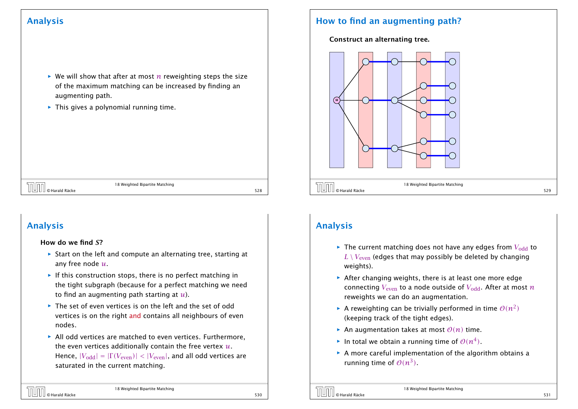# Analysis

- $\triangleright$  We will show that after at most *n* reweighting steps the size of the maximum matching can be increased by finding an augmenting path.
- **Fig.** This gives a polynomial running time.

| $\bigcup \bigcup \bigcup \bigcup$ $\bigcup$ Harald Räcke | 18 Weighted Bipartite Matching | 528 |
|----------------------------------------------------------|--------------------------------|-----|
|                                                          |                                |     |

# Analysis

### How do we find *S*?

- ▶ Start on the left and compute an alternating tree, starting at any free node *u*.
- **Follo** If this construction stops, there is no perfect matching in the tight subgraph (because for a perfect matching we need to find an augmenting path starting at *u*).
- **►** The set of even vertices is on the left and the set of odd vertices is on the right and contains all neighbours of even nodes.
- $\triangleright$  All odd vertices are matched to even vertices. Furthermore, the even vertices additionally contain the free vertex *u*. Hence,  $|V_{odd}| = |\Gamma(V_{even})|$  *< |V<sub>even</sub>*|, and all odd vertices are saturated in the current matching.

# How to find an augmenting path?

## Construct an alternating tree.



# Analysis

- $\blacktriangleright$  The current matching does not have any edges from  $V_{\text{odd}}$  to  $L \setminus V_{\text{even}}$  (edges that may possibly be deleted by changing weights).
- **After changing weights, there is at least one more edge** connecting  $V_{\text{even}}$  to a node outside of  $V_{\text{odd}}$ . After at most *n* reweights we can do an augmentation.
- $\blacktriangleright$  A reweighting can be trivially performed in time  $\mathcal{O}(n^2)$ (keeping track of the tight edges).
- $\blacktriangleright$  An augmentation takes at most  $\mathcal{O}(n)$  time.
- $\blacktriangleright$  In total we obtain a running time of  $\mathcal{O}(n^4)$ .
- **A** more careful implementation of the algorithm obtains a running time of  $O(n^3)$ .



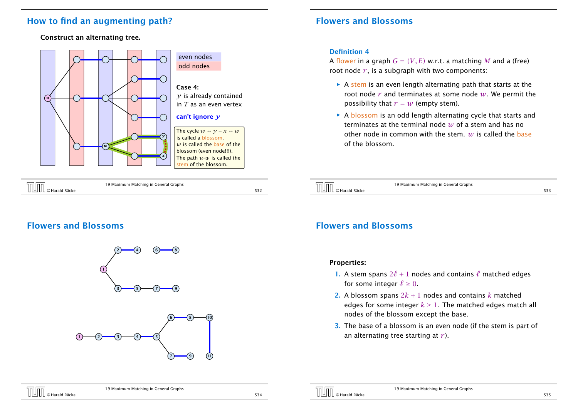## How to find an augmenting path?

Construct an alternating tree.





# Flowers and Blossoms

### Definition 4

A flower in a graph  $G = (V, E)$  w.r.t. a matching M and a (free) root node  $r$ , is a subgraph with two components:

- **► A stem is an even length alternating path that starts at the** root node *r* and terminates at some node *w*. We permit the possibility that  $r = w$  (empty stem).
- **F** A blossom is an odd length alternating cycle that starts and terminates at the terminal node *w* of a stem and has no other node in common with the stem. *w* is called the base of the blossom.

19 Maximum Matching in General Graphs © Harald Räcke 533

# Flowers and Blossoms

#### Properties:

- 1. A stem spans  $2\ell + 1$  nodes and contains  $\ell$  matched edges for some integer  $\ell \geq 0$ .
- **2.** A blossom spans  $2k + 1$  nodes and contains k matched edges for some integer  $k \geq 1$ . The matched edges match all nodes of the blossom except the base.
- 3. The base of a blossom is an even node (if the stem is part of an alternating tree starting at *r* ).

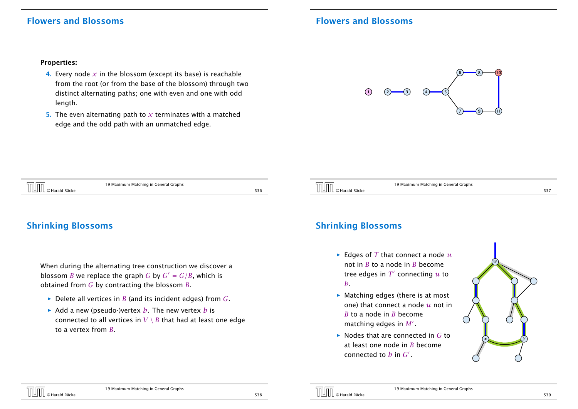## Flowers and Blossoms

## Flowers and Blossoms

#### Properties:

- 4. Every node  $x$  in the blossom (except its base) is reachable from the root (or from the base of the blossom) through two distinct alternating paths; one with even and one with odd length.
- 5. The even alternating path to *x* terminates with a matched edge and the odd path with an unmatched edge.

19 Maximum Matching in General Graphs © Harald Räcke 536

## Shrinking Blossoms

When during the alternating tree construction we discover a blossom *B* we replace the graph *G* by  $G' = G/B$ , which is obtained from *G* by contracting the blossom *B*.

- $\blacktriangleright$  Delete all vertices in *B* (and its incident edges) from *G*.
- $\rightarrow$  Add a new (pseudo-)vertex *b*. The new vertex *b* is connected to all vertices in  $V \setminus B$  that had at least one edge to a vertex from *B*.

# Shrinking Blossoms

- $\blacktriangleright$  Edges of *T* that connect a node  $u$ not in *B* to a node in *B* become tree edges in  $T'$  connecting  $u$  to *b*.
- ▶ Matching edges (there is at most one) that connect a node *u* not in *B* to a node in *B* become matching edges in  $M'$  .
- *ñ* Nodes that are connected in *G* to at least one node in *B* become connected to  $b$  in  $G'$ .





*w*

*x*  $\left\{ y \right\}$ 



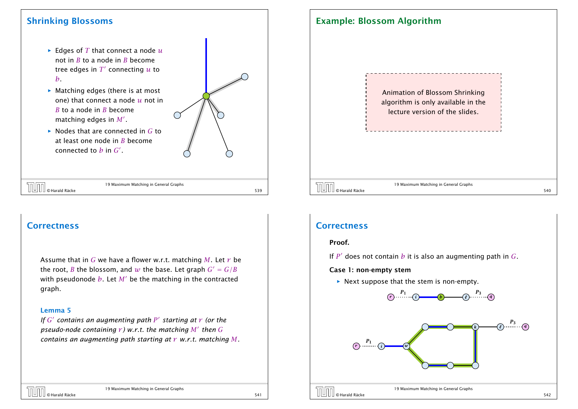## Shrinking Blossoms

- $\blacktriangleright$  Edges of *T* that connect a node  $u$ not in *B* to a node in *B* become tree edges in  $T'$  connecting  $u$  to *b*.
- ▶ Matching edges (there is at most one) that connect a node *u* not in *B* to a node in *B* become matching edges in  $M'$  .
- *ñ* Nodes that are connected in *G* to at least one node in *B* become connected to  $b$  in  $G'$ .

| n |  |
|---|--|
|   |  |
| ١ |  |
|   |  |
|   |  |

|  | $\left[\begin{matrix} 1 & 0 \\ 0 & 0 \end{matrix}\right]$ $\odot$ Harald Räcke | 19 Maximum Matching in General Graphs |     |
|--|--------------------------------------------------------------------------------|---------------------------------------|-----|
|  |                                                                                |                                       | 539 |

19 Maximum Matching in General Graphs

## **Correctness**

Assume that in *G* we have a flower w.r.t. matching *M*. Let *r* be the root, *B* the blossom, and *w* the base. Let graph  $G' = G/B$ with pseudonode  $b$ . Let  $M'$  be the matching in the contracted graph.

#### Lemma 5

*If*  $G'$  contains an augmenting path  $P'$  starting at  $r$  (or the *pseudo-node containing r ) w.r.t. the matching M*0 *then G contains an augmenting path starting at r w.r.t. matching M.*

19 Maximum Matching in General Graphs

## Example: Blossom Algorithm

Animation of Blossom Shrinking algorithm is only available in the lecture version of the slides.

19 Maximum Matching in General Graphs  $\overline{19}$  Maximum Matching in General Graphs<br>S40 S400 SHarald Räcke 540

## **Correctness**

#### Proof.

If *P* 0 does not contain *b* it is also an augmenting path in *G*.

#### Case 1: non-empty stem

 $\triangleright$  Next suppose that the stem is non-empty.





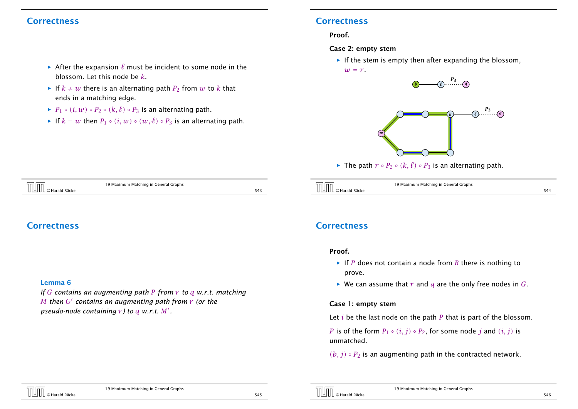## **Correctness**

- $\rightarrow$  After the expansion  $\ell$  must be incident to some node in the blossom. Let this node be *k*.
- *►* If  $k ≠ w$  there is an alternating path  $P_2$  from  $w$  to  $k$  that ends in a matching edge.
- *►*  $P_1 \circ (i, w) \circ P_2 \circ (k, \ell) \circ P_3$  is an alternating path.
- *►* If  $k = w$  then  $P_1 ∘ (i, w) ∘ (w, l) ∘ P_3$  is an alternating path.

# **Correctness**

#### Proof.

#### Case 2: empty stem

**Follo** If the stem is empty then after expanding the blossom,  $w = r$ .



19 Maximum Matching in General Graphs © Harald Räcke 543

## **Correctness**

#### Lemma 6

*If G contains an augmenting path P from r to q w.r.t. matching M then G*<sup> $\prime$ </sup> *contains an augmenting path from*  $\gamma$  *(or the pseudo-node containing*  $r$  *) to*  $q$  *w.r.t.*  $M'$  *.* 

## **Correctness**

#### Proof.

- $\blacktriangleright$  If *P* does not contain a node from *B* there is nothing to prove.
- $\blacktriangleright$  We can assume that *r* and *q* are the only free nodes in *G*.

#### Case 1: empty stem

Let *i* be the last node on the path *P* that is part of the blossom.

*P* is of the form  $P_1 \circ (i, j) \circ P_2$ , for some node *j* and  $(i, j)$  is unmatched.

 $(b, i) \circ P_2$  is an augmenting path in the contracted network.

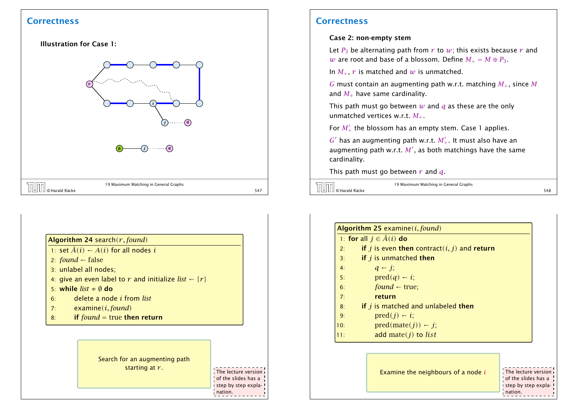## **Correctness**



## Algorithm 24 search*(r,found)*

- 1: set  $\bar{A}(i) \leftarrow A(i)$  for all nodes *i*
- 2:  $found \leftarrow false$
- 3: unlabel all nodes;
- 4: give an even label to  $r$  and initialize *list*  $\leftarrow \{r\}$
- 5: while  $list \neq \emptyset$  do
- 6: delete a node *i* from *list*
- 7: examine*(i,found)*
- 8: if *found* = true then return



The lecture version of the slides has a step by step explanation.

## **Correctness**

#### Case 2: non-empty stem

Let  $P_3$  be alternating path from  $r$  to  $w$ ; this exists because  $r$  and *w* are root and base of a blossom. Define  $M_{+} = M \oplus P_3$ .

In  $M_+$ ,  $r$  is matched and  $w$  is unmatched.

*G* must contain an augmenting path w.r.t. matching *M*+, since *M* and  $M_{+}$  have same cardinality.

This path must go between *w* and *q* as these are the only unmatched vertices w.r.t. *M*+.

For  $M'_+$  the blossom has an empty stem. Case 1 applies.

 $G'$  has an augmenting path w.r.t.  $M'_+$ . It must also have an augmenting path w.r.t.  $M^{\prime}$ , as both matchings have the same cardinality.

This path must go between *r* and *q*.

19 Maximum Matching in General Graphs  $\overline{19}$  Maximum Matching in General Graphs<br>S48 548

|     | <b>Algorithm 25</b> examine $(i, found)$         |
|-----|--------------------------------------------------|
|     | 1: for all $j \in \overline{A}(i)$ do            |
| 2:  | if $j$ is even then contract $(i, j)$ and return |
| 3:  | if $j$ is unmatched then                         |
| 4:  | $q - j$ ;                                        |
| 5:  | $pred(q) \leftarrow i;$                          |
| 6:  | $found$ – true;                                  |
| 7:  | return                                           |
| 8:  | if $j$ is matched and unlabeled then             |
| 9:  | $pred(j) \leftarrow i;$                          |
| 10: | $pred(mate(j)) \leftarrow j;$                    |
| 11: | add mate $(j)$ to <i>list</i>                    |

Examine the neighbours of a node *i*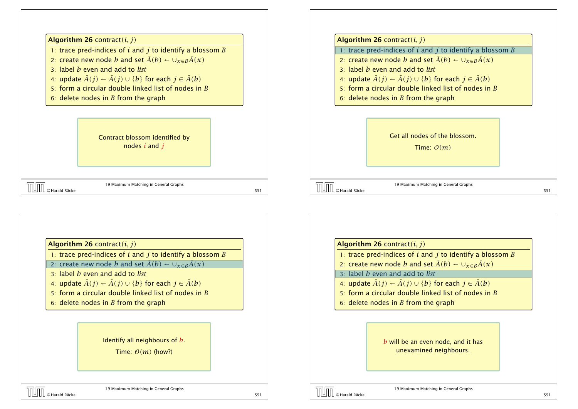

4: update  $\bar{A}(j)$  ←  $\bar{A}(j)$  ∪ {*b*} for each  $j \in \bar{A}(b)$ 5: form a circular double linked list of nodes in *B* 6: delete nodes in *B* from the graph 19 Maximum Matching in General Graphs © Harald Räcke 551 Get all nodes of the blossom. Time: O*(m)*

Algorithm 26 contract*(i, j)*

- 1: trace pred-indices of *i* and *j* to identify a blossom *B*
- 2: create new node *b* and set  $\bar{A}(b) \leftarrow \cup_{x \in B} \bar{A}(x)$
- 3: label *b* even and add to *list*
- 4: update  $\bar{A}(j)$  ←  $\bar{A}(j)$  ∪ {*b*} for each  $j \in \bar{A}(b)$
- 5: form a circular double linked list of nodes in *B*
- 6: delete nodes in *B* from the graph

## Identify all neighbours of *b*.

Time:  $O(m)$  (how?)

## Algorithm 26 contract*(i, j)*

- 1: trace pred-indices of *i* and *j* to identify a blossom *B*
- 2: create new node *b* and set  $\bar{A}(b) \leftarrow \bigcup_{x \in B} \bar{A}(x)$
- 3: label *b* even and add to *list*
- 4: update  $\bar{A}(j) \leftarrow \bar{A}(j) \cup \{b\}$  for each  $j \in \bar{A}(b)$
- 5: form a circular double linked list of nodes in *B*
- 6: delete nodes in *B* from the graph

*b* will be an even node, and it has unexamined neighbours.

19 Maximum Matching in General Graphs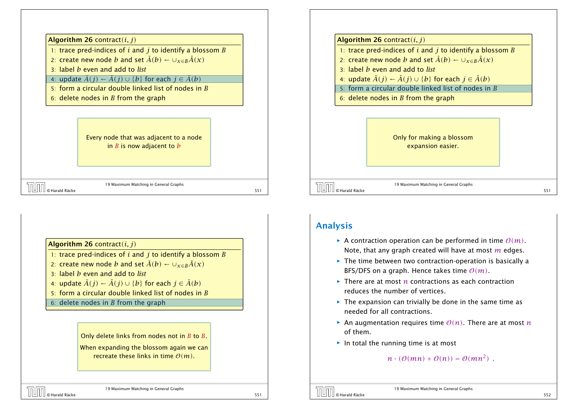

- 1: trace pred-indices of *i* and *j* to identify a blossom *B*
- 2: create new node *b* and set  $\bar{A}(b) \leftarrow \bigcup_{x \in B} \bar{A}(x)$
- 3: label *b* even and add to *list*
- 4: update  $\bar{A}(j) \leftarrow \bar{A}(j) \cup \{b\}$  for each  $j \in \bar{A}(b)$
- 5: form a circular double linked list of nodes in *B*
- 6: delete nodes in *B* from the graph

Every node that was adjacent to a node in *B* is now adjacent to *b*

|                                                               | T9 Maximum Matching in General Grabhs |  |
|---------------------------------------------------------------|---------------------------------------|--|
| $\begin{bmatrix} 1 & 0 \\ 0 & 1 \end{bmatrix}$ o Harald Räcke |                                       |  |

19 Maximum Matching in General Graphs

Algorithm 26 contract*(i, j)*

- 1: trace pred-indices of *i* and *j* to identify a blossom *B*
- 2: create new node *b* and set  $\bar{A}(b) \leftarrow \bigcup_{x \in B} \bar{A}(x)$
- 3: label *b* even and add to *list*
- 4: update  $\bar{A}(j) \leftarrow \bar{A}(j) \cup \{b\}$  for each  $j \in \bar{A}(b)$
- 5: form a circular double linked list of nodes in *B*
- 6: delete nodes in *B* from the graph

#### Only delete links from nodes not in *B* to *B*.

When expanding the blossom again we can recreate these links in time O*(m)*.

#### Algorithm 26 contract*(i, j)*

- 1: trace pred-indices of *i* and *j* to identify a blossom *B*
- 2: create new node *b* and set  $\bar{A}(b) \leftarrow \bigcup_{x \in B} \bar{A}(x)$
- 3: label *b* even and add to *list*
- 4: update  $\bar{A}(j) \leftarrow \bar{A}(j) \cup \{b\}$  for each  $j \in \bar{A}(b)$
- 5: form a circular double linked list of nodes in *B*
- 6: delete nodes in *B* from the graph



19 Maximum Matching in General Graphs © Harald Räcke 551

## Analysis

- $\blacktriangleright$  A contraction operation can be performed in time  $O(m)$ . Note, that any graph created will have at most *m* edges.
- **Fig. 2** The time between two contraction-operation is basically a BFS/DFS on a graph. Hence takes time O*(m)*.
- ▶ There are at most *n* contractions as each contraction reduces the number of vertices.
- **Fig. 2** The expansion can trivially be done in the same time as needed for all contractions.
- An augmentation requires time  $O(n)$ . There are at most *n* of them.
- **►** In total the running time is at most

```
n \cdot (\mathcal{O}(mn) + \mathcal{O}(n)) = \mathcal{O}(mn^2).
```
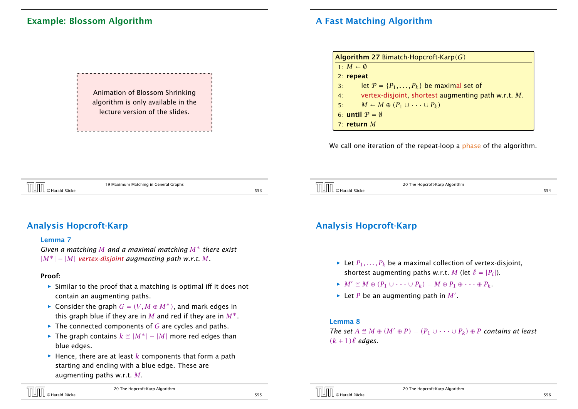Animation of Blossom Shrinking algorithm is only available in the lecture version of the slides.

19 Maximum Matching in General Graphs © Harald Räcke 553

# A Fast Matching Algorithm



We call one iteration of the repeat-loop a phase of the algorithm.

20 The Hopcroft-Karp Algorithm © Harald Räcke 554

## Analysis Hopcroft-Karp

#### Lemma 7

*Given a matching M and a maximal matching M*∗ *there exist*  $|M^*| - |M|$  *vertex-disjoint augmenting path w.r.t. M.* 

#### Proof:

- $\triangleright$  Similar to the proof that a matching is optimal iff it does not contain an augmenting paths.
- *►* Consider the graph  $G = (V, M \oplus M^*)$ , and mark edges in this graph blue if they are in *M* and red if they are in  $M^*$ .
- ▶ The connected components of *G* are cycles and paths.
- *►* The graph contains  $k \text{ } \text{ } \text{ } \text{ } \text{ } \text{ } \text{ } |M^*| |M|$  more red edges than blue edges.
- *ñ* Hence, there are at least *k* components that form a path starting and ending with a blue edge. These are augmenting paths w.r.t. *M*.

## © Harald Räcke 555

20 The Hopcroft-Karp Algorithm

# Analysis Hopcroft-Karp

- $\blacktriangleright$  Let  $P_1, \ldots, P_k$  be a maximal collection of vertex-disjoint, shortest augmenting paths w.r.t. *M* (let  $\ell = |P_i|$ ).
- $M' \triangleq M \oplus (P_1 \cup \cdots \cup P_k) = M \oplus P_1 \oplus \cdots \oplus P_k$ .
- $\blacktriangleright$  Let *P* be an augmenting path in *M'*.

#### Lemma 8

*The set*  $A \triangleq M \oplus (M' \oplus P) = (P_1 \cup \cdots \cup P_k) \oplus P$  *contains at least*  $(k + 1)\ell$  *edges.* 

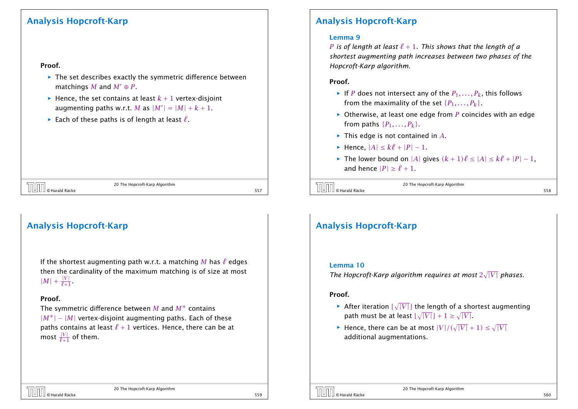## Analysis Hopcroft-Karp

#### Proof.

- **Follow** The set describes exactly the symmetric difference between matchings *M* and  $M' \oplus P$ .
- $\blacktriangleright$  Hence, the set contains at least  $k + 1$  vertex-disjoint augmenting paths w.r.t. M as  $|M'| = |M| + k + 1$ .
- $\blacktriangleright$  Each of these paths is of length at least  $\ell$ .

© Harald Räcke 557

20 The Hopcroft-Karp Algorithm

# Analysis Hopcroft-Karp

If the shortest augmenting path w.r.t. a matching M has  $\ell$  edges then the cardinality of the maximum matching is of size at most  $|M| + \frac{|V|}{\ell+1}.$ 

### Proof.

The symmetric difference between *M* and *M*∗ contains |*M*∗| − |*M*| vertex-disjoint augmenting paths. Each of these paths contains at least  $\ell + 1$  vertices. Hence, there can be at most  $\frac{|V|}{\ell+1}$  of them.

# Analysis Hopcroft-Karp

### Lemma 9

*P* is of length at least  $\ell + 1$ . This shows that the length of a *shortest augmenting path increases between two phases of the Hopcroft-Karp algorithm.*

#### Proof.

- $\blacktriangleright$  If *P* does not intersect any of the  $P_1, \ldots, P_k$ , this follows from the maximality of the set  $\{P_1, \ldots, P_k\}$ .
- $\triangleright$  Otherwise, at least one edge from *P* coincides with an edge from paths  $\{P_1, \ldots, P_k\}$ .
- **►** This edge is not contained in *A*.
- $\blacktriangleright$  Hence,  $|A| \leq k\ell + |P| 1$ .
- $\blacktriangleright$  The lower bound on |*A*| gives  $(k + 1)\ell \le |A| \le k\ell + |P| 1$ , and hence  $|P| \ge \ell + 1$ .

| <b>TUTT</b> © Harald Räcke | 20 The Hopcroft-Karp Algorithm |  |
|----------------------------|--------------------------------|--|
|                            |                                |  |

# Analysis Hopcroft-Karp

#### Lemma 10

The Hopcroft-Karp algorithm requires at most  $2\sqrt{|V|}$  phases.

#### Proof.

- $\blacktriangleright$  After iteration  $\lfloor \sqrt{|V|} \rfloor$  the length of a shortest augmenting path must be at least  $\lfloor \sqrt{|V|} \rfloor + 1 \ge \sqrt{|V|}$ .
- $\blacktriangleright$  Hence, there can be at most  $|V|/(\sqrt{|V|} + 1) \le \sqrt{|V|}$ additional augmentations.